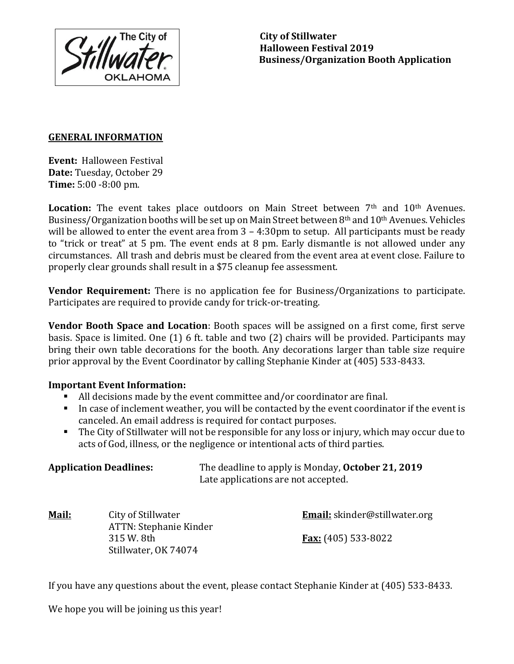**The City of Stillwater Halloween Festival 2019 Business/Organization Booth Application**

## **GENERAL INFORMATION**

**Event:** Halloween Festival **Date:** Tuesday, October 29 **Time:** 5:00 -8:00 pm.

Location: The event takes place outdoors on Main Street between 7<sup>th</sup> and 10<sup>th</sup> Avenues. Business/Organization booths will be set up on Main Street between 8th and 10th Avenues. Vehicles will be allowed to enter the event area from 3 - 4:30pm to setup. All participants must be ready to "trick or treat" at 5 pm. The event ends at 8 pm. Early dismantle is not allowed under any circumstances. All trash and debris must be cleared from the event area at event close. Failure to properly clear grounds shall result in a \$75 cleanup fee assessment.

**Vendor Requirement:** There is no application fee for Business/Organizations to participate. Participates are required to provide candy for trick-or-treating.

**Vendor Booth Space and Location**: Booth spaces will be assigned on a first come, first serve basis. Space is limited. One (1) 6 ft. table and two (2) chairs will be provided. Participants may bring their own table decorations for the booth. Any decorations larger than table size require prior approval by the Event Coordinator by calling Stephanie Kinder at (405) 533-8433.

## **Important Event Information:**

- All decisions made by the event committee and/or coordinator are final.
- In case of inclement weather, you will be contacted by the event coordinator if the event is canceled. An email address is required for contact purposes.
- The City of Stillwater will not be responsible for any loss or injury, which may occur due to acts of God, illness, or the negligence or intentional acts of third parties.

| <b>Application Deadlines:</b> | The deadline to apply is Monday, October 21, 2019 |
|-------------------------------|---------------------------------------------------|
|                               | Late applications are not accepted.               |

| <u> Mail:</u> | City of Stillwater     | <b>Email:</b> skinder@stillwater.org |
|---------------|------------------------|--------------------------------------|
|               | ATTN: Stephanie Kinder |                                      |
|               | 315 W. 8th             | <u> Fax:</u> (405) 533-8022          |
|               | Stillwater, OK 74074   |                                      |

If you have any questions about the event, please contact Stephanie Kinder at (405) 533-8433.

We hope you will be joining us this year!